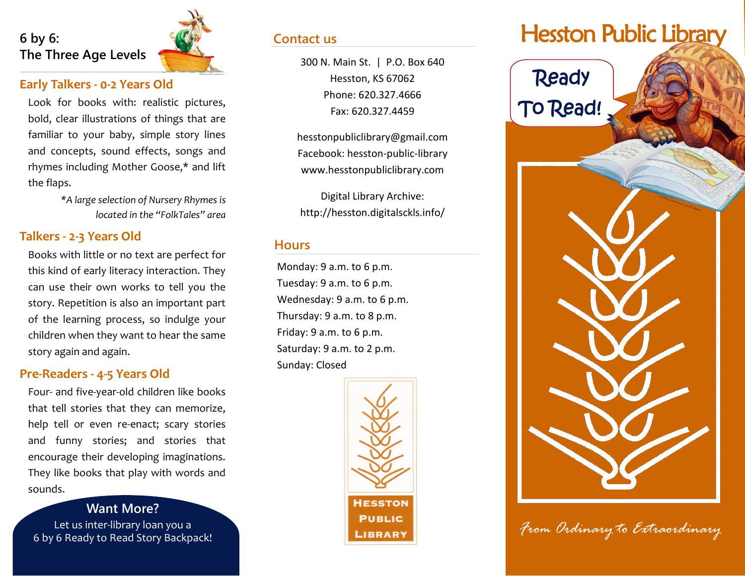

#### **Early Talkers - 0-2 Years Old**

Look for books with: realistic pictures, bold, clear illustrations of things that are familiar to your baby, simple story lines and concepts, sound effects, songs and rhymes including Mother Goose,\* and lift the flaps.

> *\*A large selection of Nursery Rhymes is located in the "FolkTales" area*

#### **Talkers - 2-3 Years Old**

Books with little or no text are perfect for this kind of early literacy interaction. They can use their own works to tell you the story. Repetition is also an important part of the learning process, so indulge your children when they want to hear the same story again and again.

#### **Pre-Readers - 4-5 Years Old**

Four- and five-year-old children like books that tell stories that they can memorize, help tell or even re-enact; scary stories and funny stories; and stories that encourage their developing imaginations. They like books that play with words and sounds.

**Want More?** Let us inter-library loan you a 6 by 6 Ready to Read Story Backpack!

#### **Contact us**

Hesston, KS 67062 Phone: 620.327.4666 Fax: 620.327.4459

hesstonpubliclibrary@gmail.com Facebook: hesston-public-library www.hesstonpubliclibrary.com

Digital Library Archive: http://hesston.digitalsckls.info/

#### **Hours**

Monday: 9 a.m. to 6 p.m. Tuesday: 9 a.m. to 6 p.m. Wednesday: 9 a.m. to 6 p.m. Thursday: 9 a.m. to 8 p.m. Friday: 9 a.m. to 6 p.m. Saturday: 9 a.m. to 2 p.m. Sunday: Closed



# Hesston Public Library



*From Ordinary to Extraordinary*